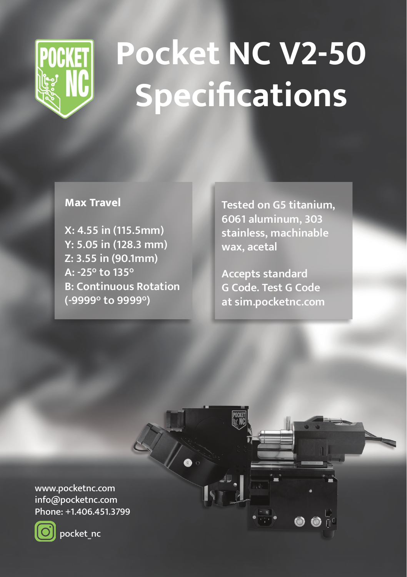

## **Pocket NC V2-50 Specifications**

## **Max Travel**

**X: 4.55 in (115.5mm) Y: 5.05 in (128.3 mm) Z: 3.55 in (90.1mm) A: -25° to 135° B: Continuous Rotation (-9999° to 9999°)**

**Tested on G5 titanium, 6061 aluminum, 303 stainless, machinable wax, acetal**

**Accepts standard G Code. Test G Code at sim.pocketnc.com**

www.pocketnc.com info@pocketnc.com Phone: +1.406.451.3799



pocket\_nc